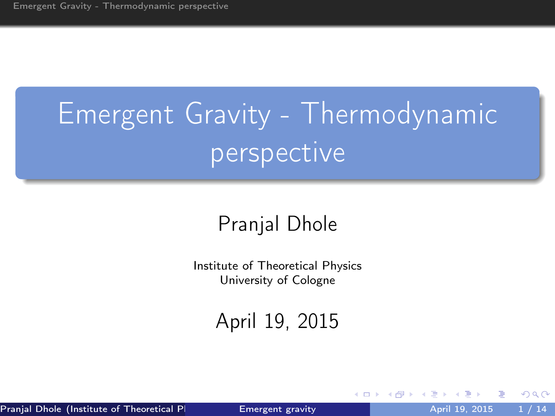# Emergent Gravity - Thermodynamic perspective

#### Pranjal Dhole

Institute of Theoretical Physics University of Cologne

April 19, 2015

Pranjal Dhole (Institute of Theoretical Physics University University April 19, 2015 1 / 14

4 D F

<span id="page-0-0"></span>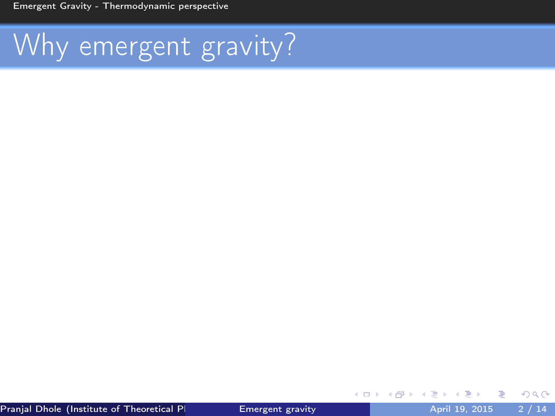[Emergent Gravity - Thermodynamic perspective](#page-1-0)

# Why emergent gravity?

Þ

メロト メ御 トメ ミトメ

<span id="page-1-0"></span>重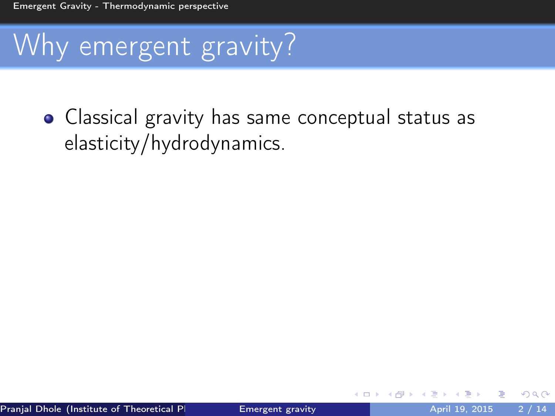# Why emergent gravity?

• Classical gravity has same conceptual status as elasticity/hydrodynamics.

4 D F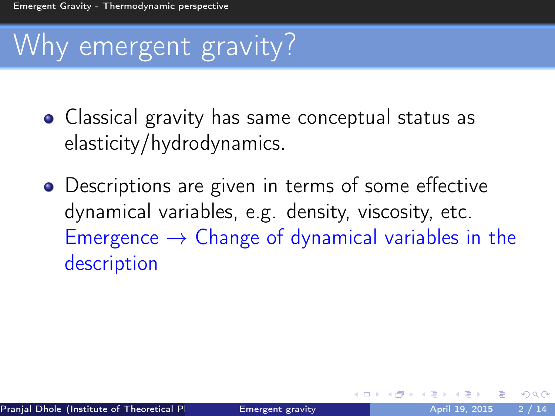# Why emergent gravity?

- Classical gravity has same conceptual status as elasticity/hydrodynamics.
- Descriptions are given in terms of some effective dynamical variables, e.g. density, viscosity, etc. Emergence  $\rightarrow$  Change of dynamical variables in the description

4 D F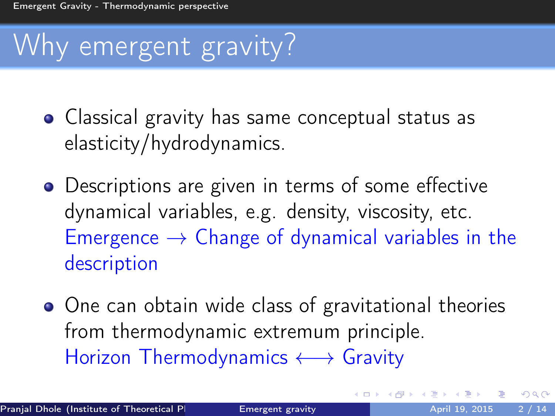# Why emergent gravity?

- Classical gravity has same conceptual status as elasticity/hydrodynamics.
- Descriptions are given in terms of some effective dynamical variables, e.g. density, viscosity, etc. Emergence  $\rightarrow$  Change of dynamical variables in the description
- One can obtain wide class of gravitational theories from thermodynamic extremum principle. Horizon Thermodynamics ←→ Gravity

4 D F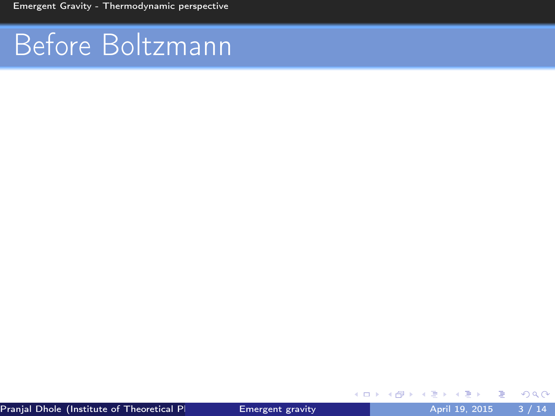[Emergent Gravity - Thermodynamic perspective](#page-1-0)

# Before Boltzmann

B

э  $\rightarrow$ ×

(ロ) (伊)

重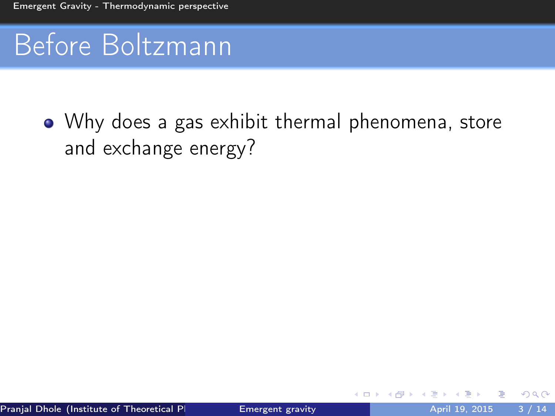### Before Boltzmann

Why does a gas exhibit thermal phenomena, store and exchange energy?

4 D F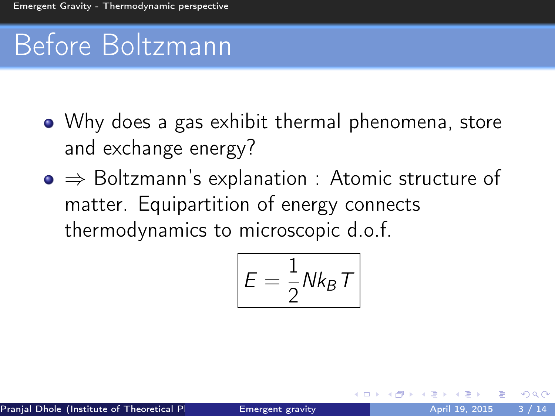# Before Boltzmann

- Why does a gas exhibit thermal phenomena, store and exchange energy?
- ⇒ Boltzmann's explanation : Atomic structure of matter. Equipartition of energy connects thermodynamics to microscopic d.o.f.

$$
E = \frac{1}{2} N k_B T
$$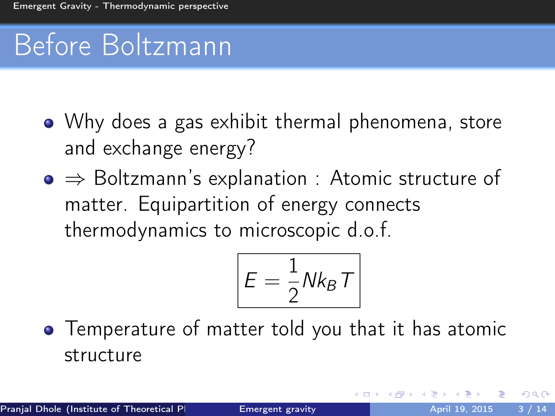# Before Boltzmann

- Why does a gas exhibit thermal phenomena, store and exchange energy?
- ⇒ Boltzmann's explanation : Atomic structure of matter. Equipartition of energy connects thermodynamics to microscopic d.o.f.

$$
E=\frac{1}{2}Nk_B T
$$

4 D F

**•** Temperature of matter told you that it has atomic structure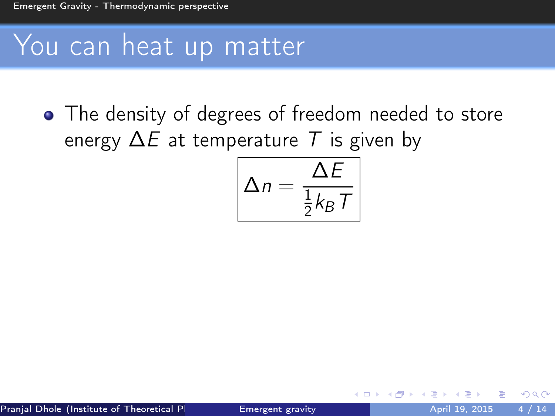### You can heat up matter

• The density of degrees of freedom needed to store energy  $\Delta E$  at temperature T is given by

$$
\Delta n = \frac{\Delta E}{\frac{1}{2}k_B T}
$$

4 D F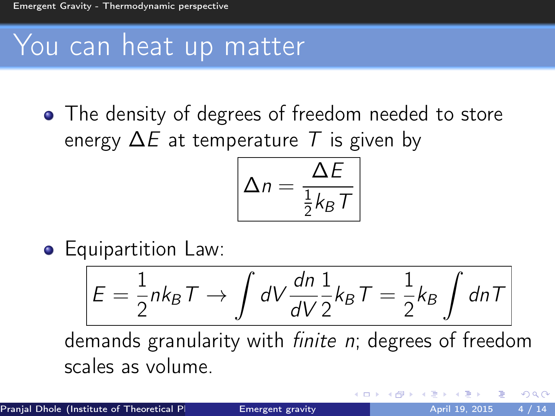### You can heat up matter

• The density of degrees of freedom needed to store energy  $\Delta E$  at temperature T is given by

$$
\Delta n = \frac{\Delta E}{\frac{1}{2}k_B T}
$$

**•** Equipartition Law:

$$
E = \frac{1}{2}nk_BT \rightarrow \int dV \frac{dn}{dV} \frac{1}{2}k_BT = \frac{1}{2}k_BT \int dnT
$$

demands granularity with finite n; degrees of freedom scales as volume.

4 D F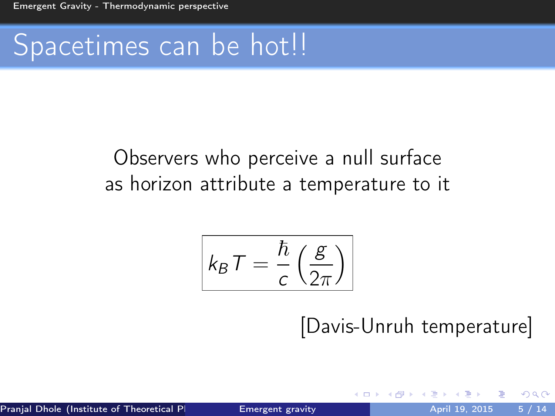### Spacetimes can be hot!!

#### Observers who perceive a null surface as horizon attribute a temperature to it

$$
k_B T = \frac{\hbar}{c} \left( \frac{g}{2\pi} \right)
$$

#### [Davis-Unruh temperature]

 $\leftarrow$   $\Box$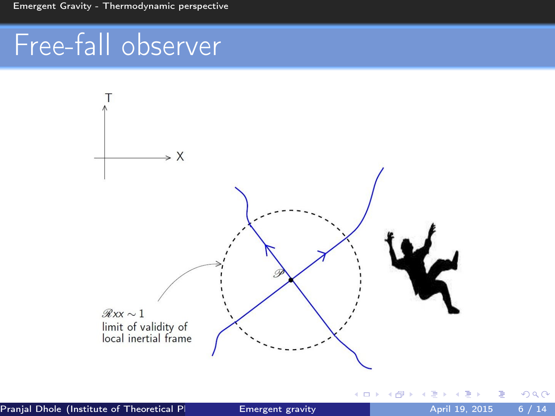# Free-fall observer



4 0 8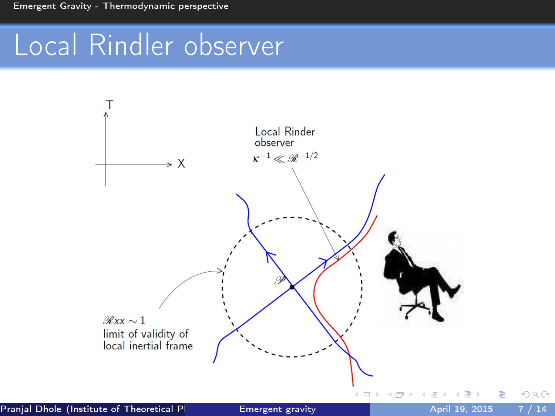### Local Rindler observer

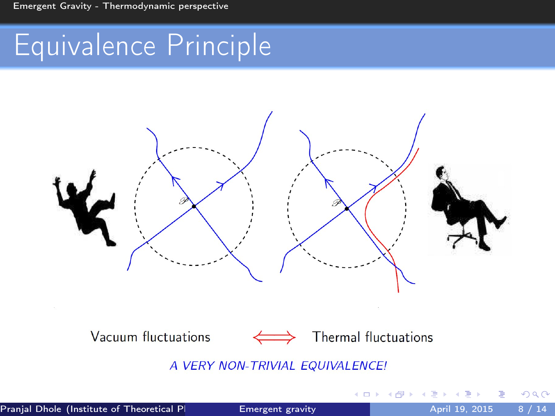### Equivalence Principle



Vacuum fluctuations



Thermal fluctuations

4 **D** F

A VERY NON-TRIVIAL EQUIVALENCE!

 $QQ$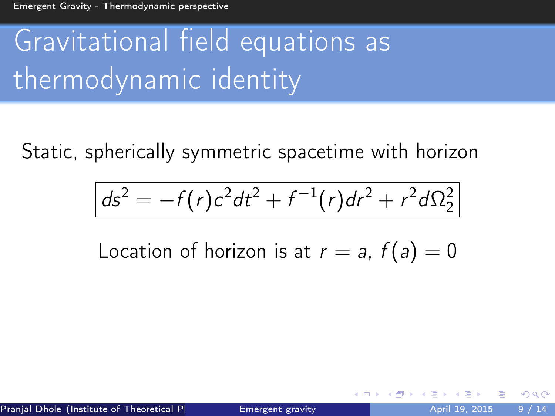# Gravitational field equations as thermodynamic identity

Static, spherically symmetric spacetime with horizon

$$
ds^{2} = -f(r)c^{2}dt^{2} + f^{-1}(r)dr^{2} + r^{2}d\Omega_{2}^{2}
$$

Location of horizon is at  $r = a$ ,  $f(a) = 0$ 

つひひ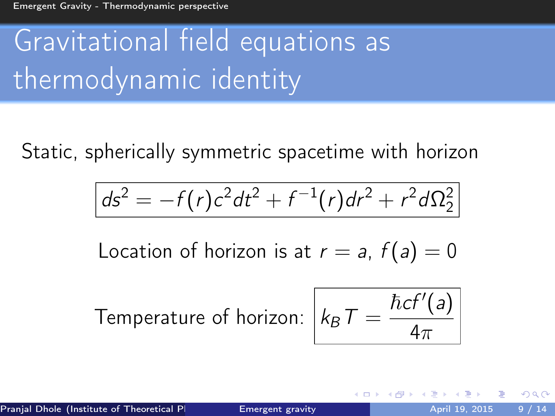# Gravitational field equations as thermodynamic identity

Static, spherically symmetric spacetime with horizon

$$
ds^{2} = -f(r)c^{2}dt^{2} + f^{-1}(r)dr^{2} + r^{2}d\Omega_{2}^{2}
$$

Location of horizon is at  $r = a$ ,  $f(a) = 0$ 

Temperature of horizon: 
$$
k_B T = \frac{\hbar c f'(a)}{4\pi}
$$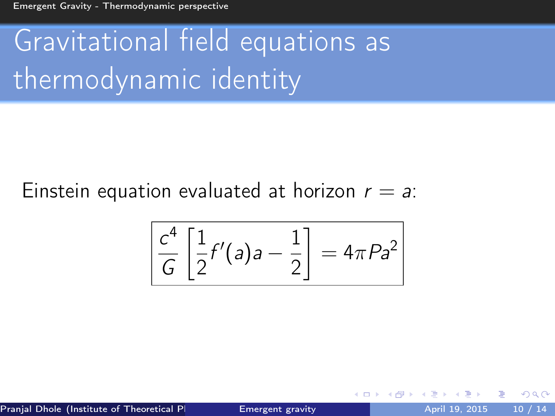[Emergent Gravity - Thermodynamic perspective](#page-1-0)

# Gravitational field equations as thermodynamic identity

Einstein equation evaluated at horizon  $r = a$ .

$$
\left[\frac{c^4}{G}\left[\frac{1}{2}f'(a)a-\frac{1}{2}\right]=4\pi Pa^2\right]
$$

Pranjal Dhole (Institute of Theoretical Physics University April 19, 2015 10 / 14

 $\leftarrow$   $\Box$ 

つひひ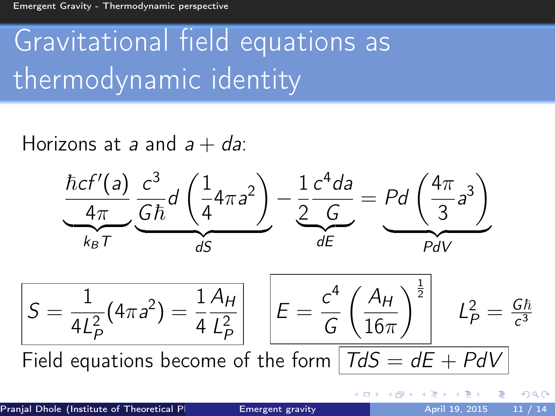# Gravitational field equations as thermodynamic identity

Horizons at a and  $a + da$ :  $\hbar c f'(a)$  $4\pi$  $\overline{k_B T}$  $c<sup>3</sup>$  $rac{c}{G\hbar}d$  $\sqrt{1}$ 4  $4\pi a^2$  $\frac{dS}{dS}$ dS − 1 2  $c^4$ da G  $\overline{dE}$  $=$  Pd  $\left(\frac{4\pi}{2}\right)$ 3  $a^3$  $PdV$  $S =$ 1  $4L_F^2$ P  $(4\pi a^2) = \frac{1}{4}$ 4  $A_H$  $L_F^2$ P  $E =$  $c<sup>4</sup>$ G  $\int A_H$  $16\pi$  $\left.\begin{array}{c|c} \frac{1}{2} & \mathcal{L}_P^2 = \frac{G\hbar}{c^3} \end{array}\right.$  $\overline{c^3}$ Field equations become of the form  $\vert T dS = d\overline{E + P dV} \vert$ 

 $\Omega$ 

**4 ロト 4 何 ト 4**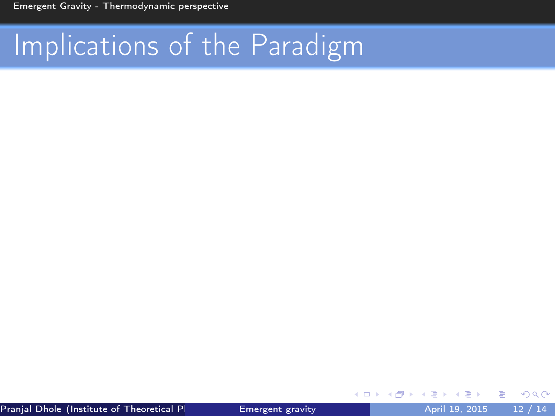4 0 8

э

 $QQ$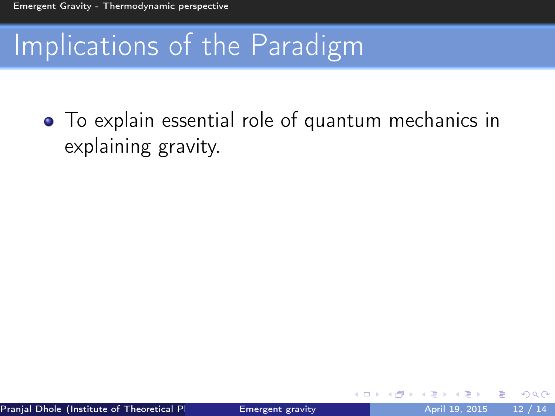To explain essential role of quantum mechanics in explaining gravity.

4 D F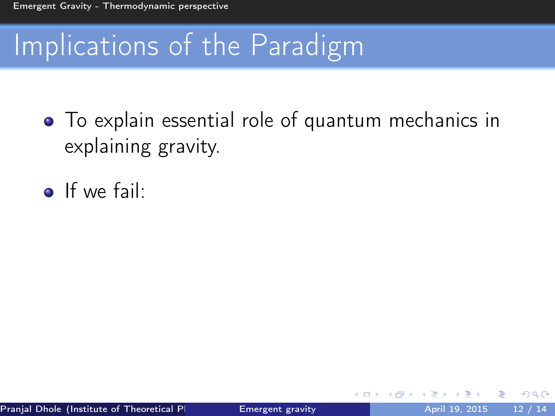- To explain essential role of quantum mechanics in explaining gravity.
- $\bullet$  If we fail:

4 D F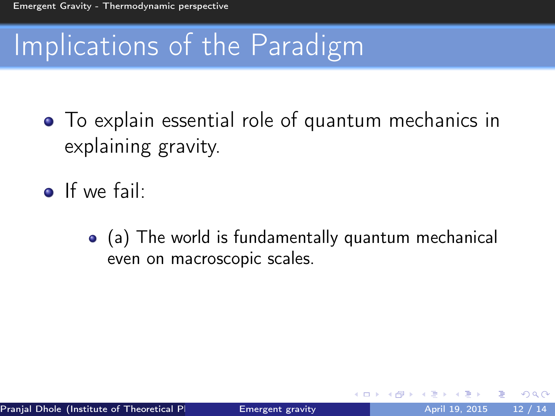- To explain essential role of quantum mechanics in explaining gravity.
- **o** If we fail:
	- (a) The world is fundamentally quantum mechanical even on macroscopic scales.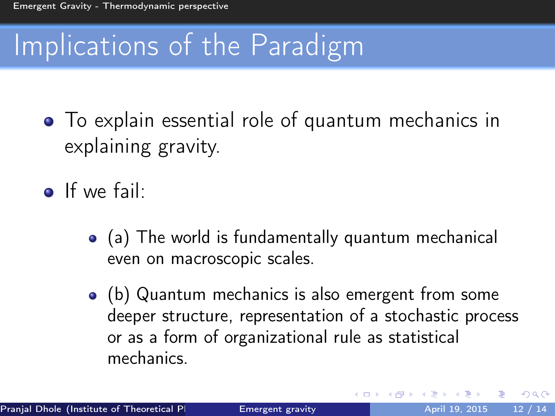- To explain essential role of quantum mechanics in explaining gravity.
- **o** If we fail:
	- (a) The world is fundamentally quantum mechanical even on macroscopic scales.
	- (b) Quantum mechanics is also emergent from some deeper structure, representation of a stochastic process or as a form of organizational rule as statistical mechanics.

4 D F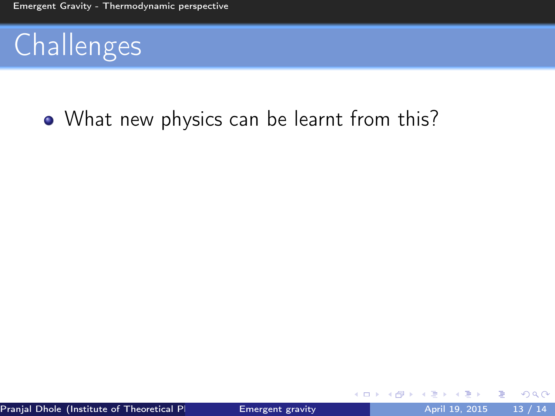#### • What new physics can be learnt from this?

4 0 8

э

 $QQ$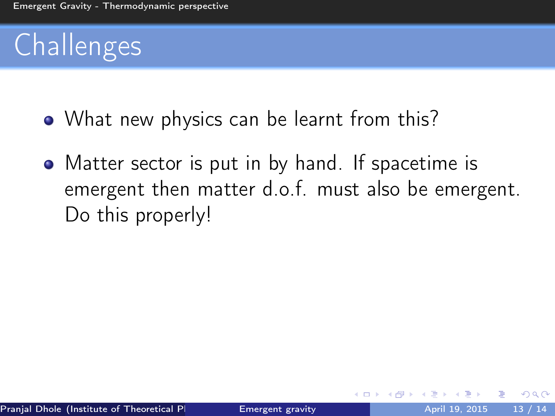- What new physics can be learnt from this?
- Matter sector is put in by hand. If spacetime is emergent then matter d.o.f. must also be emergent. Do this properly!

4 D F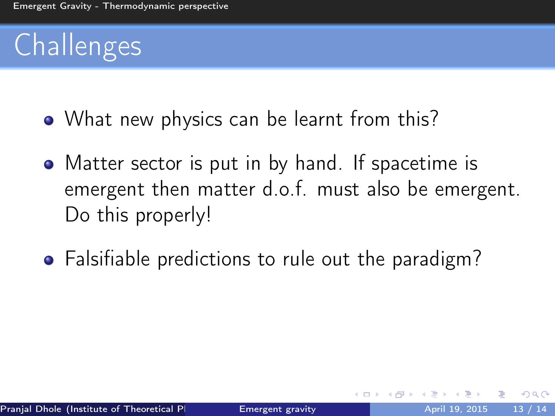- What new physics can be learnt from this?
- Matter sector is put in by hand. If spacetime is emergent then matter d.o.f. must also be emergent. Do this properly!
- Falsifiable predictions to rule out the paradigm?

4 D F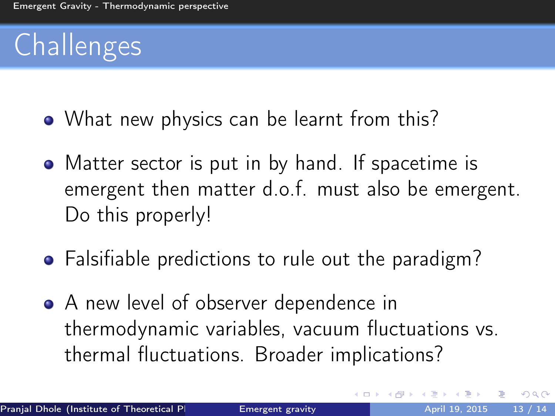- What new physics can be learnt from this?
- Matter sector is put in by hand. If spacetime is emergent then matter d.o.f. must also be emergent. Do this properly!
- Falsifiable predictions to rule out the paradigm?
- A new level of observer dependence in thermodynamic variables, vacuum fluctuations vs. thermal fluctuations. Broader implications?

4 D F